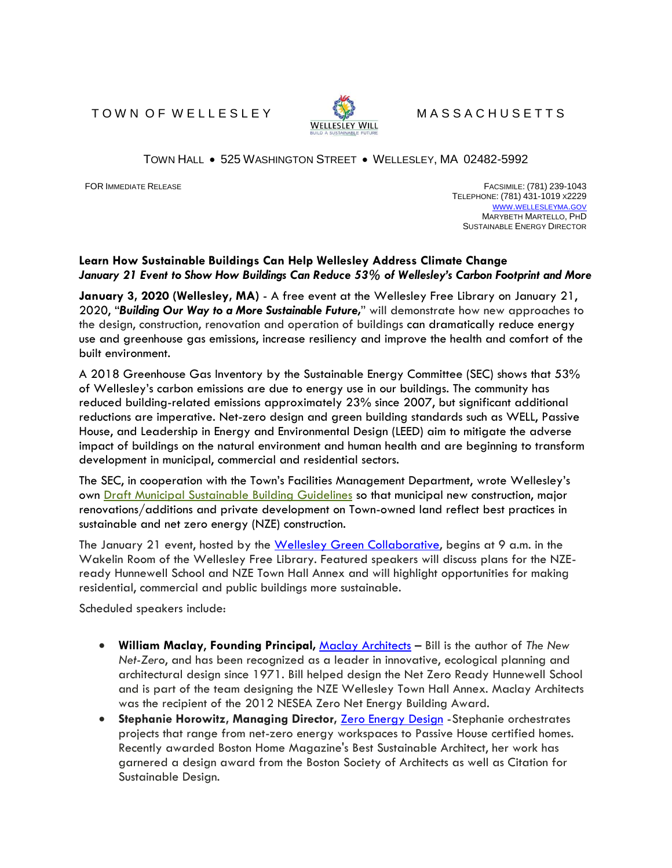T O W N O F W FILL F SI F Y LASS A CHUS FT TS



## TOWN HALL 525 WASHINGTON STREET WELLESLEY, MA 02482-5992

FOR IMMEDIATE RELEASE FACSIMILE: (781) 239-1043 TELEPHONE: (781) 431-1019 X2229 WWW.[WELLESLEYMA](http://www.wellesleyma.gov/).GOV MARYBETH MARTELLO, PHD SUSTAINABLE ENERGY DIRECTOR

## **Learn How Sustainable Buildings Can Help Wellesley Address Climate Change** *January 21 Event to Show How Buildings Can Reduce 53% of Wellesley's Carbon Footprint and More*

**January 3, 2020 (Wellesley, MA)** - A free event at the Wellesley Free Library on January 21, 2020, "*Building Our Way to a More Sustainable Future,*" will demonstrate how new approaches to the design, construction, renovation and operation of buildings can dramatically reduce energy use and greenhouse gas emissions, increase resiliency and improve the health and comfort of the built environment.

A [2018 Greenhouse Gas Inventory](https://wellesleyma.gov/DocumentCenter/View/17813/SEC-Report-to-ATM-2019-PDF) by the Sustainable Energy Committee (SEC) shows that 53% of Wellesley's carbon emissions are due to energy use in our buildings. The community has reduced building-related emissions approximately 23% since 2007, but significant additional reductions are imperative. Net-zero design and green building standards such as WELL, Passive House, and Leadership in Energy and Environmental Design (LEED) aim to mitigate the adverse impact of buildings on the natural environment and human health and are beginning to transform development in municipal, commercial and residential sectors.

The SEC, in cooperation with the Town's Facilities Management Department, wrote Wellesley's own [Draft Municipal Sustainable Building Guidelines](https://www.wellesleyma.gov/DocumentCenter/View/17002/2019725-Draft-SBG-Ver-19) so that municipal new construction, major renovations/additions and private development on Town-owned land reflect best practices in sustainable and net zero energy (NZE) construction.

The January 21 event, hosted by the [Wellesley Green Collaborative,](https://www.wellesleyma.gov/DocumentCenter/View/8625/Wellesley-Green-Collaborative-PDF?bidId=) begins at 9 a.m. in the Wakelin Room of the Wellesley Free Library. Featured speakers will discuss plans for the NZEready Hunnewell School and NZE Town Hall Annex and will highlight opportunities for making residential, commercial and public buildings more sustainable.

Scheduled speakers include:

- **William Maclay**, **Founding Principal***,* [Maclay Architects](http://www.maclayarchitects.com/) Bill is the author of *The New Net-Zero*, and has been recognized as a leader in innovative, ecological planning and architectural design since 1971. Bill helped design the Net Zero Ready Hunnewell School and is part of the team designing the NZE Wellesley Town Hall Annex. Maclay Architects was the recipient of the 2012 NESEA Zero Net Energy Building Award.
- **Stephanie Horowitz, Managing Director,** [Zero Energy Design](https://zeroenergy.com/) -Stephanie orchestrates projects that range from net-zero energy workspaces to Passive House certified homes. Recently awarded Boston Home Magazine's Best Sustainable Architect, her work has garnered a design award from the Boston Society of Architects as well as Citation for Sustainable Design.